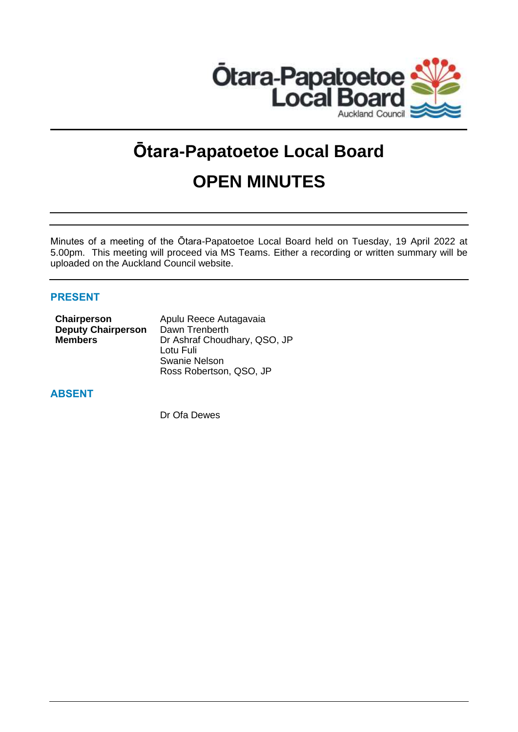

# **Ōtara-Papatoetoe Local Board OPEN MINUTES**

Minutes of a meeting of the Ōtara-Papatoetoe Local Board held on Tuesday, 19 April 2022 at 5.00pm. This meeting will proceed via MS Teams. Either a recording or written summary will be uploaded on the Auckland Council website.

# **PRESENT**

| Apulu Reece Autagavaia       |
|------------------------------|
| Dawn Trenberth               |
| Dr Ashraf Choudhary, QSO, JP |
| Lotu Fuli                    |
| Swanie Nelson                |
| Ross Robertson, QSO, JP      |
|                              |

# **ABSENT**

Dr Ofa Dewes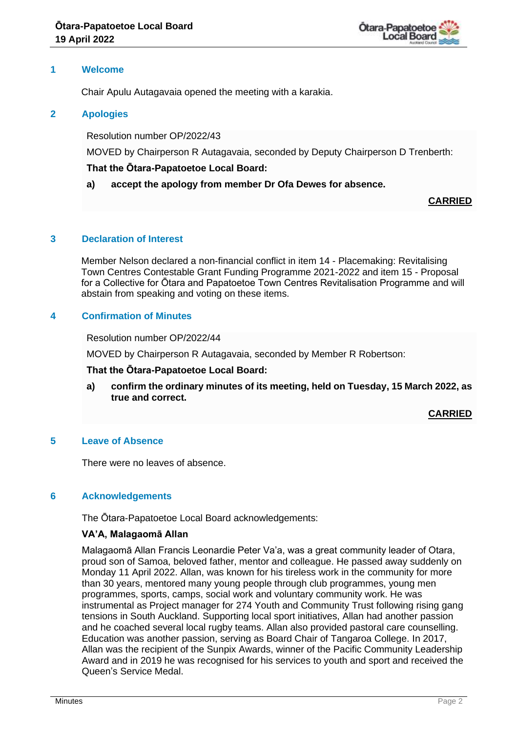

## **1 Welcome**

Chair Apulu Autagavaia opened the meeting with a karakia.

# **2 Apologies**

Resolution number OP/2022/43

MOVED by Chairperson R Autagavaia, seconded by Deputy Chairperson D Trenberth:

# **That the Ōtara-Papatoetoe Local Board:**

# **a) accept the apology from member Dr Ofa Dewes for absence.**

**CARRIED**

# **3 Declaration of Interest**

Member Nelson declared a non-financial conflict in item 14 - Placemaking: Revitalising Town Centres Contestable Grant Funding Programme 2021-2022 and item 15 - Proposal for a Collective for Ōtara and Papatoetoe Town Centres Revitalisation Programme and will abstain from speaking and voting on these items.

# **4 Confirmation of Minutes**

Resolution number OP/2022/44

MOVED by Chairperson R Autagavaia, seconded by Member R Robertson:

## **That the Ōtara-Papatoetoe Local Board:**

**a) confirm the ordinary minutes of its meeting, held on Tuesday, 15 March 2022, as true and correct.**

**CARRIED**

## **5 Leave of Absence**

There were no leaves of absence.

## **6 Acknowledgements**

The Ōtara-Papatoetoe Local Board acknowledgements:

## **VA'A, Malagaomā Allan**

Malagaomā Allan Francis Leonardie Peter Va'a, was a great community leader of Otara, proud son of Samoa, beloved father, mentor and colleague. He passed away suddenly on Monday 11 April 2022. Allan, was known for his tireless work in the community for more than 30 years, mentored many young people through club programmes, young men programmes, sports, camps, social work and voluntary community work. He was instrumental as Project manager for 274 Youth and Community Trust following rising gang tensions in South Auckland. Supporting local sport initiatives, Allan had another passion and he coached several local rugby teams. Allan also provided pastoral care counselling. Education was another passion, serving as Board Chair of Tangaroa College. In 2017, Allan was the recipient of the Sunpix Awards, winner of the Pacific Community Leadership Award and in 2019 he was recognised for his services to youth and sport and received the Queen's Service Medal.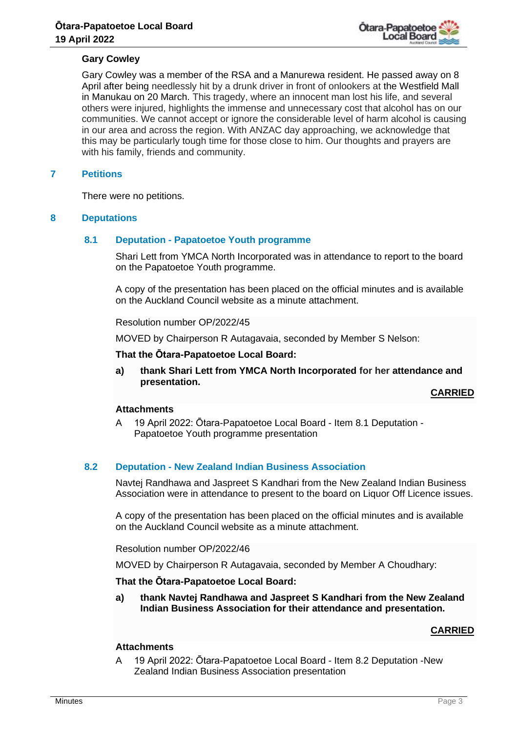

## **Gary Cowley**

Gary Cowley was a member of the RSA and a Manurewa resident. He passed away on 8 April after being needlessly hit by a drunk driver in front of onlookers at the Westfield Mall in Manukau on 20 March. This tragedy, where an innocent man lost his life, and several others were injured, highlights the immense and unnecessary cost that alcohol has on our communities. We cannot accept or ignore the considerable level of harm alcohol is causing in our area and across the region. With ANZAC day approaching, we acknowledge that this may be particularly tough time for those close to him. Our thoughts and prayers are with his family, friends and community.

## **7 Petitions**

There were no petitions.

## **8 Deputations**

## **8.1 Deputation - Papatoetoe Youth programme**

Shari Lett from YMCA North Incorporated was in attendance to report to the board on the Papatoetoe Youth programme.

A copy of the presentation has been placed on the official minutes and is available on the Auckland Council website as a minute attachment.

Resolution number OP/2022/45

MOVED by Chairperson R Autagavaia, seconded by Member S Nelson:

**That the Ōtara-Papatoetoe Local Board:**

**a) thank Shari Lett from YMCA North Incorporated for her attendance and presentation.**

**CARRIED**

#### **Attachments**

A 19 April 2022: Ōtara-Papatoetoe Local Board - Item 8.1 Deputation - Papatoetoe Youth programme presentation

## **8.2 Deputation - New Zealand Indian Business Association**

Navtej Randhawa and Jaspreet S Kandhari from the New Zealand Indian Business Association were in attendance to present to the board on Liquor Off Licence issues.

A copy of the presentation has been placed on the official minutes and is available on the Auckland Council website as a minute attachment.

Resolution number OP/2022/46

MOVED by Chairperson R Autagavaia, seconded by Member A Choudhary:

## **That the Ōtara-Papatoetoe Local Board:**

**a) thank Navtej Randhawa and Jaspreet S Kandhari from the New Zealand Indian Business Association for their attendance and presentation.**

## **CARRIED**

# **Attachments**

A 19 April 2022: Ōtara-Papatoetoe Local Board - Item 8.2 Deputation -New Zealand Indian Business Association presentation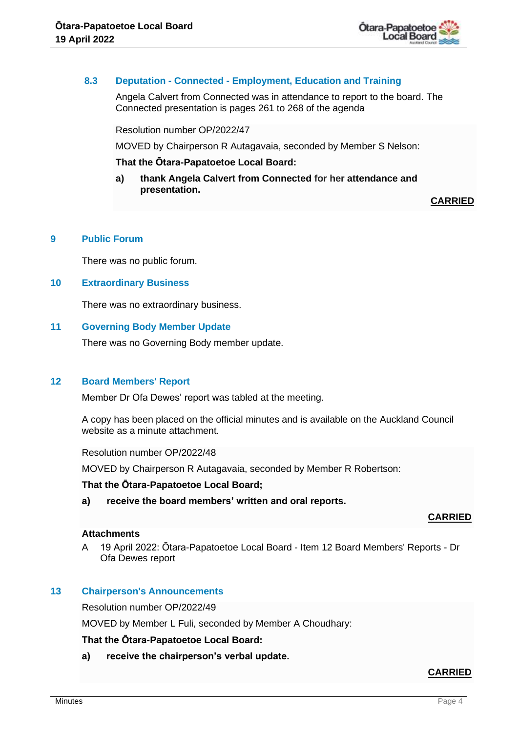

## **8.3 Deputation - Connected - Employment, Education and Training**

Angela Calvert from Connected was in attendance to report to the board. The Connected presentation is pages 261 to 268 of the agenda

Resolution number OP/2022/47

MOVED by Chairperson R Autagavaia, seconded by Member S Nelson:

#### **That the Ōtara-Papatoetoe Local Board:**

**a) thank Angela Calvert from Connected for her attendance and presentation.**

**CARRIED**

#### **9 Public Forum**

There was no public forum.

#### **10 Extraordinary Business**

There was no extraordinary business.

#### **11 Governing Body Member Update**

There was no Governing Body member update.

## **12 Board Members' Report**

Member Dr Ofa Dewes' report was tabled at the meeting.

A copy has been placed on the official minutes and is available on the Auckland Council website as a minute attachment.

Resolution number OP/2022/48

MOVED by Chairperson R Autagavaia, seconded by Member R Robertson:

#### **That the Ōtara-Papatoetoe Local Board;**

**a) receive the board members' written and oral reports.**

#### **CARRIED**

## **Attachments**

A 19 April 2022: Ōtara-Papatoetoe Local Board - Item 12 Board Members' Reports - Dr Ofa Dewes report

## **13 Chairperson's Announcements**

Resolution number OP/2022/49

MOVED by Member L Fuli, seconded by Member A Choudhary:

#### **That the Ōtara-Papatoetoe Local Board:**

**a) receive the chairperson's verbal update.**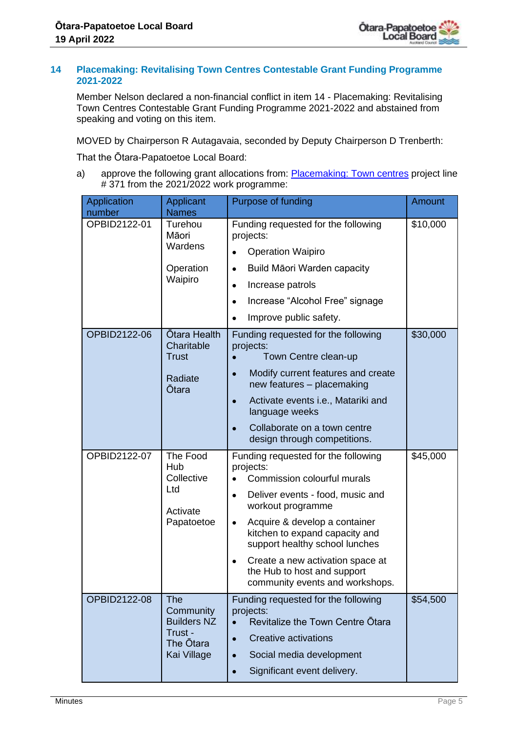

## **14 Placemaking: Revitalising Town Centres Contestable Grant Funding Programme 2021-2022**

Member Nelson declared a non-financial conflict in item 14 - Placemaking: Revitalising Town Centres Contestable Grant Funding Programme 2021-2022 and abstained from speaking and voting on this item.

MOVED by Chairperson R Autagavaia, seconded by Deputy Chairperson D Trenberth:

That the Ōtara-Papatoetoe Local Board:

a) approve the following grant allocations from: [Placemaking: Town centres](http://shareit13/LBWP/_layouts/15/listform.aspx?PageType=4&ListId=%7B5AB1F6D5%2D710A%2D4924%2D9BEF%2DDBCEEC10350A%7D&ID=858&ContentTypeID=0x0100BBB1C2E201A0D542A028B4CBA3AD6559) project line # 371 from the 2021/2022 work programme:

| Application<br>number | Applicant<br><b>Names</b>                                                     | Purpose of funding                                                                                                                                                                                                                                                                                                                                                                         | <b>Amount</b> |
|-----------------------|-------------------------------------------------------------------------------|--------------------------------------------------------------------------------------------------------------------------------------------------------------------------------------------------------------------------------------------------------------------------------------------------------------------------------------------------------------------------------------------|---------------|
| OPBID2122-01          | Turehou<br>Māori<br>Wardens                                                   | Funding requested for the following<br>projects:<br><b>Operation Waipiro</b>                                                                                                                                                                                                                                                                                                               | \$10,000      |
|                       | Operation<br>Waipiro                                                          | Build Māori Warden capacity<br>$\bullet$<br>Increase patrols<br>$\bullet$<br>Increase "Alcohol Free" signage<br>$\bullet$<br>Improve public safety.<br>$\bullet$                                                                                                                                                                                                                           |               |
| OPBID2122-06          | Ōtara Health<br>Charitable<br><b>Trust</b><br>Radiate<br>Ōtara                | Funding requested for the following<br>projects:<br>Town Centre clean-up<br>Modify current features and create<br>$\bullet$<br>new features - placemaking<br>Activate events i.e., Matariki and<br>$\bullet$<br>language weeks<br>Collaborate on a town centre<br>design through competitions.                                                                                             | \$30,000      |
| OPBID2122-07          | The Food<br>Hub<br>Collective<br>Ltd<br>Activate<br>Papatoetoe                | Funding requested for the following<br>projects:<br>Commission colourful murals<br>Deliver events - food, music and<br>$\bullet$<br>workout programme<br>Acquire & develop a container<br>$\bullet$<br>kitchen to expand capacity and<br>support healthy school lunches<br>Create a new activation space at<br>$\bullet$<br>the Hub to host and support<br>community events and workshops. | \$45,000      |
| OPBID2122-08          | The<br>Community<br><b>Builders NZ</b><br>Trust -<br>The Ōtara<br>Kai Village | Funding requested for the following<br>projects:<br>Revitalize the Town Centre Otara<br><b>Creative activations</b><br>Social media development<br>Significant event delivery.<br>$\bullet$                                                                                                                                                                                                | \$54,500      |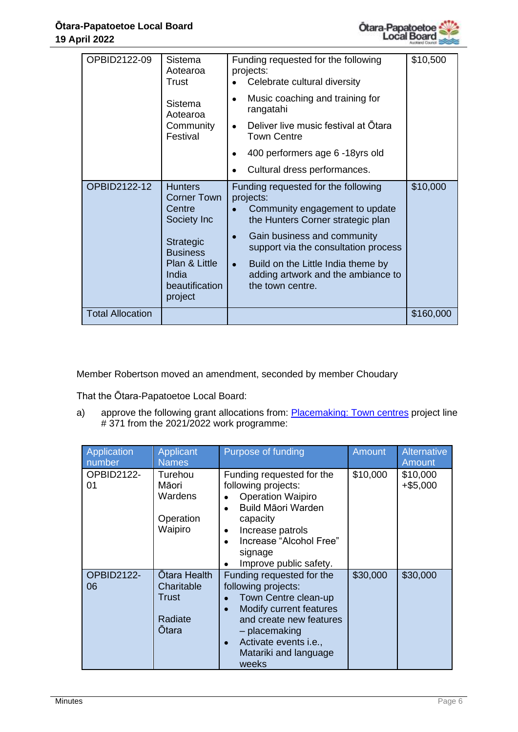

| OPBID2122-09            | Sistema<br>Aotearoa<br>Trust                                                                                                                                | Funding requested for the following<br>projects:<br>Celebrate cultural diversity                                                                                                                                                                                                                                         | \$10,500  |
|-------------------------|-------------------------------------------------------------------------------------------------------------------------------------------------------------|--------------------------------------------------------------------------------------------------------------------------------------------------------------------------------------------------------------------------------------------------------------------------------------------------------------------------|-----------|
|                         | Sistema<br>Aotearoa                                                                                                                                         | Music coaching and training for<br>$\bullet$<br>rangatahi                                                                                                                                                                                                                                                                |           |
|                         | Community<br>Festival                                                                                                                                       | Deliver live music festival at Otara<br>$\bullet$<br><b>Town Centre</b>                                                                                                                                                                                                                                                  |           |
|                         |                                                                                                                                                             | 400 performers age 6 -18yrs old                                                                                                                                                                                                                                                                                          |           |
|                         |                                                                                                                                                             | Cultural dress performances.                                                                                                                                                                                                                                                                                             |           |
| OPBID2122-12            | <b>Hunters</b><br><b>Corner Town</b><br>Centre<br>Society Inc<br><b>Strategic</b><br><b>Business</b><br>Plan & Little<br>India<br>beautification<br>project | Funding requested for the following<br>projects:<br>Community engagement to update<br>the Hunters Corner strategic plan<br>Gain business and community<br>$\bullet$<br>support via the consultation process<br>Build on the Little India theme by<br>$\bullet$<br>adding artwork and the ambiance to<br>the town centre. | \$10,000  |
| <b>Total Allocation</b> |                                                                                                                                                             |                                                                                                                                                                                                                                                                                                                          | \$160,000 |

Member Robertson moved an amendment, seconded by member Choudary

That the Ōtara-Papatoetoe Local Board:

a) approve the following grant allocations from: **Placemaking: Town centres project line** # 371 from the 2021/2022 work programme:

| <b>Application</b><br>number | <b>Applicant</b><br><b>Names</b>                        | Purpose of funding                                                                                                                                                                                                     | <b>Amount</b> | <b>Alternative</b><br>Amount |
|------------------------------|---------------------------------------------------------|------------------------------------------------------------------------------------------------------------------------------------------------------------------------------------------------------------------------|---------------|------------------------------|
| OPBID2122-<br>01             | Turehou<br>Māori<br>Wardens<br>Operation<br>Waipiro     | Funding requested for the<br>following projects:<br><b>Operation Waipiro</b><br><b>Build Māori Warden</b><br>capacity<br>Increase patrols<br>$\bullet$<br>Increase "Alcohol Free"<br>signage<br>Improve public safety. | \$10,000      | \$10,000<br>$+$ \$5,000      |
| OPBID2122-<br>06             | Ōtara Health<br>Charitable<br>Trust<br>Radiate<br>Otara | Funding requested for the<br>following projects:<br>Town Centre clean-up<br>Modify current features<br>and create new features<br>- placemaking<br>Activate events i.e.,<br>Matariki and language<br>weeks             | \$30,000      | \$30,000                     |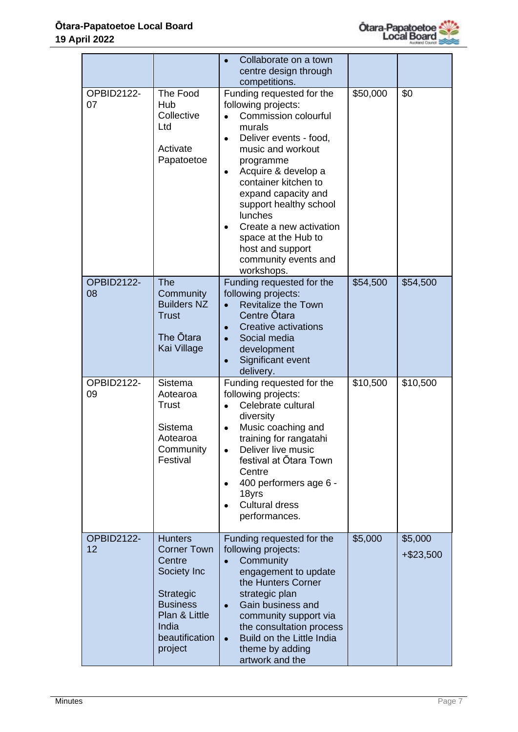

|                         |                                                                                                                                                      | Collaborate on a town<br>centre design through<br>competitions.                                                                                                                                                                                                                                                                                                                    |          |                      |
|-------------------------|------------------------------------------------------------------------------------------------------------------------------------------------------|------------------------------------------------------------------------------------------------------------------------------------------------------------------------------------------------------------------------------------------------------------------------------------------------------------------------------------------------------------------------------------|----------|----------------------|
| OPBID2122-<br>07        | The Food<br>Hub<br>Collective<br>Ltd<br>Activate<br>Papatoetoe                                                                                       | Funding requested for the<br>following projects:<br>Commission colourful<br>murals<br>Deliver events - food,<br>$\bullet$<br>music and workout<br>programme<br>Acquire & develop a<br>container kitchen to<br>expand capacity and<br>support healthy school<br>lunches<br>Create a new activation<br>space at the Hub to<br>host and support<br>community events and<br>workshops. | \$50,000 | \$0                  |
| <b>OPBID2122-</b><br>08 | <b>The</b><br>Community<br><b>Builders NZ</b><br><b>Trust</b><br>The Ōtara<br>Kai Village                                                            | Funding requested for the<br>following projects:<br><b>Revitalize the Town</b><br>$\bullet$<br>Centre Ōtara<br><b>Creative activations</b><br>Social media<br>development<br>Significant event<br>delivery.                                                                                                                                                                        | \$54,500 | \$54,500             |
| OPBID2122-<br>09        | Sistema<br>Aotearoa<br><b>Trust</b><br>Sistema<br>Aotearoa<br>Community<br>Festival                                                                  | Funding requested for the<br>following projects:<br>Celebrate cultural<br>diversity<br>Music coaching and<br>training for rangatahi<br>Deliver live music<br>festival at Otara Town<br>Centre<br>400 performers age 6 -<br>18yrs<br><b>Cultural dress</b><br>performances.                                                                                                         | \$10,500 | \$10,500             |
| OPBID2122-<br>12        | <b>Hunters</b><br><b>Corner Town</b><br>Centre<br>Society Inc<br>Strategic<br><b>Business</b><br>Plan & Little<br>India<br>beautification<br>project | Funding requested for the<br>following projects:<br>Community<br>$\bullet$<br>engagement to update<br>the Hunters Corner<br>strategic plan<br>Gain business and<br>$\bullet$<br>community support via<br>the consultation process<br>Build on the Little India<br>$\bullet$<br>theme by adding<br>artwork and the                                                                  | \$5,000  | \$5,000<br>+\$23,500 |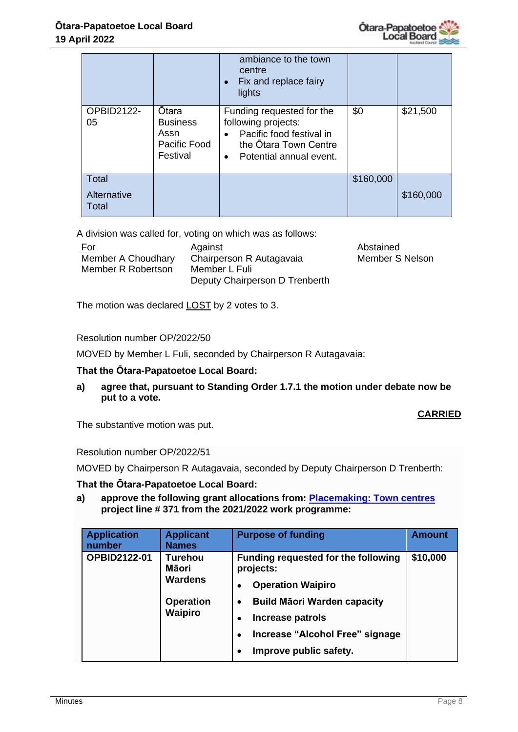

|                               |                                                              | ambiance to the town<br>centre<br>• Fix and replace fairy<br>lights                                                                                        |           |           |
|-------------------------------|--------------------------------------------------------------|------------------------------------------------------------------------------------------------------------------------------------------------------------|-----------|-----------|
| OPBID2122-<br>05              | Ōtara<br><b>Business</b><br>Assn<br>Pacific Food<br>Festival | Funding requested for the<br>following projects:<br>Pacific food festival in<br>$\bullet$<br>the Otara Town Centre<br>Potential annual event.<br>$\bullet$ | \$0       | \$21,500  |
| Total<br>Alternative<br>Total |                                                              |                                                                                                                                                            | \$160,000 | \$160,000 |

A division was called for, voting on which was as follows:

| <u>For</u>         | Against                        | Abstained       |
|--------------------|--------------------------------|-----------------|
| Member A Choudhary | Chairperson R Autagavaia       | Member S Nelson |
| Member R Robertson | Member L Fuli                  |                 |
|                    | Deputy Chairperson D Trenberth |                 |

The motion was declared **LOST** by 2 votes to 3.

Resolution number OP/2022/50

MOVED by Member L Fuli, seconded by Chairperson R Autagavaia:

## **That the Ōtara-Papatoetoe Local Board:**

**a) agree that, pursuant to Standing Order 1.7.1 the motion under debate now be put to a vote.**

#### **CARRIED**

The substantive motion was put.

Resolution number OP/2022/51

MOVED by Chairperson R Autagavaia, seconded by Deputy Chairperson D Trenberth:

#### **That the Ōtara-Papatoetoe Local Board:**

**a) approve the following grant allocations from: [Placemaking: Town centres](http://shareit13/LBWP/_layouts/15/listform.aspx?PageType=4&ListId=%7B5AB1F6D5%2D710A%2D4924%2D9BEF%2DDBCEEC10350A%7D&ID=858&ContentTypeID=0x0100BBB1C2E201A0D542A028B4CBA3AD6559) project line # 371 from the 2021/2022 work programme:**

| <b>Application</b><br>number | <b>Applicant</b><br><b>Names</b>          | <b>Purpose of funding</b>                                                                                                                     | <b>Amount</b> |
|------------------------------|-------------------------------------------|-----------------------------------------------------------------------------------------------------------------------------------------------|---------------|
| <b>OPBID2122-01</b>          | <b>Turehou</b><br>Māori<br><b>Wardens</b> | Funding requested for the following<br>projects:<br><b>Operation Waipiro</b><br>$\bullet$                                                     | \$10,000      |
|                              | <b>Operation</b><br><b>Waipiro</b>        | <b>Build Māori Warden capacity</b><br>$\bullet$<br>Increase patrols<br>Increase "Alcohol Free" signage<br>$\bullet$<br>Improve public safety. |               |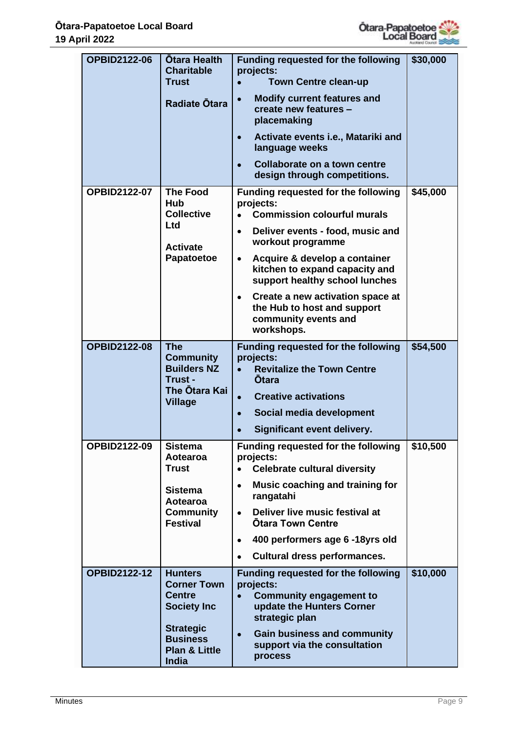

| <b>OPBID2122-06</b> | <b>Otara Health</b><br><b>Charitable</b><br><b>Trust</b><br>Radiate Otara                                                                               | <b>Funding requested for the following</b><br>projects:<br><b>Town Centre clean-up</b><br>$\bullet$<br><b>Modify current features and</b><br>$\bullet$<br>create new features -<br>placemaking<br>Activate events i.e., Matariki and<br>$\bullet$<br>language weeks<br>Collaborate on a town centre<br>$\bullet$<br>design through competitions.                                                            | \$30,000 |
|---------------------|---------------------------------------------------------------------------------------------------------------------------------------------------------|-------------------------------------------------------------------------------------------------------------------------------------------------------------------------------------------------------------------------------------------------------------------------------------------------------------------------------------------------------------------------------------------------------------|----------|
| <b>OPBID2122-07</b> | <b>The Food</b><br><b>Hub</b><br><b>Collective</b><br><b>Ltd</b><br><b>Activate</b><br>Papatoetoe                                                       | <b>Funding requested for the following</b><br>projects:<br><b>Commission colourful murals</b><br>Deliver events - food, music and<br>$\bullet$<br>workout programme<br>Acquire & develop a container<br>$\bullet$<br>kitchen to expand capacity and<br>support healthy school lunches<br>Create a new activation space at<br>$\bullet$<br>the Hub to host and support<br>community events and<br>workshops. | \$45,000 |
| <b>OPBID2122-08</b> | <b>The</b><br><b>Community</b><br><b>Builders NZ</b><br>Trust -<br>The Otara Kai<br><b>Village</b>                                                      | <b>Funding requested for the following</b><br>projects:<br><b>Revitalize the Town Centre</b><br>$\bullet$<br><b>Otara</b><br><b>Creative activations</b><br>$\bullet$<br>Social media development<br>$\bullet$<br>Significant event delivery.                                                                                                                                                               | \$54,500 |
| <b>OPBID2122-09</b> | <b>Sistema</b><br>Aotearoa<br>Trust<br><b>Sistema</b><br>Aotearoa<br><b>Community</b><br><b>Festival</b>                                                | <b>Funding requested for the following</b><br>projects:<br><b>Celebrate cultural diversity</b><br>$\bullet$<br>Music coaching and training for<br>$\bullet$<br>rangatahi<br>Deliver live music festival at<br>$\bullet$<br><b>Otara Town Centre</b><br>400 performers age 6 -18yrs old<br>$\bullet$<br><b>Cultural dress performances.</b>                                                                  | \$10,500 |
| <b>OPBID2122-12</b> | <b>Hunters</b><br><b>Corner Town</b><br><b>Centre</b><br><b>Society Inc</b><br><b>Strategic</b><br><b>Business</b><br><b>Plan &amp; Little</b><br>India | <b>Funding requested for the following</b><br>projects:<br><b>Community engagement to</b><br>update the Hunters Corner<br>strategic plan<br><b>Gain business and community</b><br>$\bullet$<br>support via the consultation<br>process                                                                                                                                                                      | \$10,000 |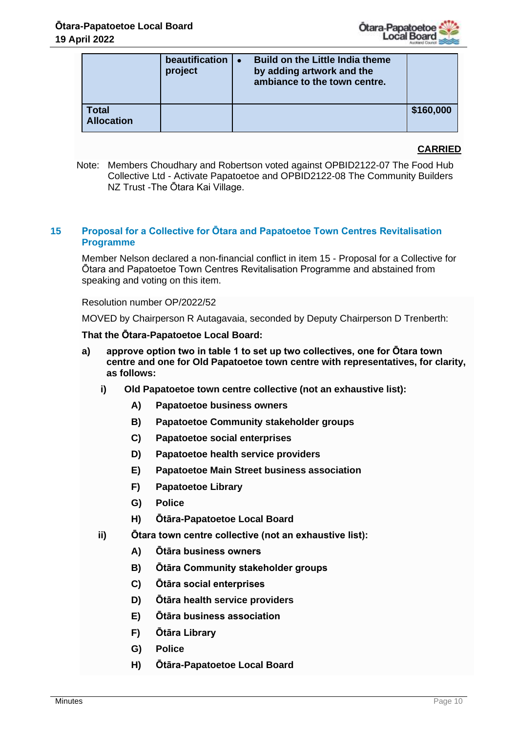

|                            | beautification<br>project | <b>Build on the Little India theme</b><br>by adding artwork and the<br>ambiance to the town centre. |           |
|----------------------------|---------------------------|-----------------------------------------------------------------------------------------------------|-----------|
| Total<br><b>Allocation</b> |                           |                                                                                                     | \$160,000 |

## **CARRIED**

Note: Members Choudhary and Robertson voted against OPBID2122-07 The Food Hub Collective Ltd - Activate Papatoetoe and OPBID2122-08 The Community Builders NZ Trust -The Ōtara Kai Village.

## **15 Proposal for a Collective for Ōtara and Papatoetoe Town Centres Revitalisation Programme**

Member Nelson declared a non-financial conflict in item 15 - Proposal for a Collective for Ōtara and Papatoetoe Town Centres Revitalisation Programme and abstained from speaking and voting on this item.

#### Resolution number OP/2022/52

MOVED by Chairperson R Autagavaia, seconded by Deputy Chairperson D Trenberth:

#### **That the Ōtara-Papatoetoe Local Board:**

- **a) approve option two in table 1 to set up two collectives, one for Ōtara town centre and one for Old Papatoetoe town centre with representatives, for clarity, as follows:**
	- **i) Old Papatoetoe town centre collective (not an exhaustive list):**
		- **A) Papatoetoe business owners**
		- **B) Papatoetoe Community stakeholder groups**
		- **C) Papatoetoe social enterprises**
		- **D) Papatoetoe health service providers**
		- **E) Papatoetoe Main Street business association**
		- **F) Papatoetoe Library**
		- **G) Police**
		- **H) Ōtāra-Papatoetoe Local Board**
	- **ii) Ōtara town centre collective (not an exhaustive list):**
		- **A) Ōtāra business owners**
		- **B) Ōtāra Community stakeholder groups**
		- **C) Ōtāra social enterprises**
		- **D) Ōtāra health service providers**
		- **E) Ōtāra business association**
		- **F) Ōtāra Library**
		- **G) Police**
		- **H) Ōtāra-Papatoetoe Local Board**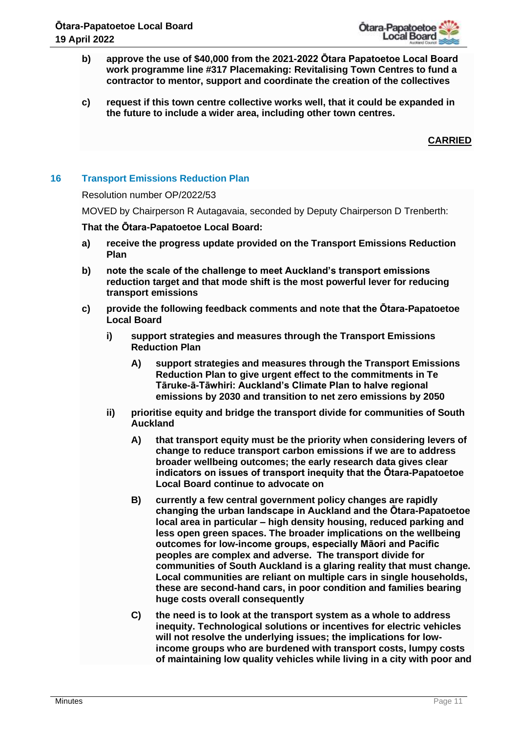

- **b) approve the use of \$40,000 from the 2021-2022 Ōtara Papatoetoe Local Board work programme line #317 Placemaking: Revitalising Town Centres to fund a contractor to mentor, support and coordinate the creation of the collectives**
- **c) request if this town centre collective works well, that it could be expanded in the future to include a wider area, including other town centres.**

**CARRIED**

# **16 Transport Emissions Reduction Plan**

#### Resolution number OP/2022/53

MOVED by Chairperson R Autagavaia, seconded by Deputy Chairperson D Trenberth:

#### **That the Ōtara-Papatoetoe Local Board:**

- **a) receive the progress update provided on the Transport Emissions Reduction Plan**
- **b) note the scale of the challenge to meet Auckland's transport emissions reduction target and that mode shift is the most powerful lever for reducing transport emissions**
- **c) provide the following feedback comments and note that the Ōtara-Papatoetoe Local Board** 
	- **i) support strategies and measures through the Transport Emissions Reduction Plan**
		- **A) support strategies and measures through the Transport Emissions Reduction Plan to give urgent effect to the commitments in Te Tāruke-ā-Tāwhiri: Auckland's Climate Plan to halve regional emissions by 2030 and transition to net zero emissions by 2050**
	- **ii) prioritise equity and bridge the transport divide for communities of South Auckland** 
		- **A) that transport equity must be the priority when considering levers of change to reduce transport carbon emissions if we are to address broader wellbeing outcomes; the early research data gives clear indicators on issues of transport inequity that the Ōtara-Papatoetoe Local Board continue to advocate on**
		- **B) currently a few central government policy changes are rapidly changing the urban landscape in Auckland and the Ōtara-Papatoetoe local area in particular – high density housing, reduced parking and less open green spaces. The broader implications on the wellbeing outcomes for low-income groups, especially Māori and Pacific peoples are complex and adverse. The transport divide for communities of South Auckland is a glaring reality that must change. Local communities are reliant on multiple cars in single households, these are second-hand cars, in poor condition and families bearing huge costs overall consequently**
		- **C) the need is to look at the transport system as a whole to address inequity. Technological solutions or incentives for electric vehicles will not resolve the underlying issues; the implications for lowincome groups who are burdened with transport costs, lumpy costs of maintaining low quality vehicles while living in a city with poor and**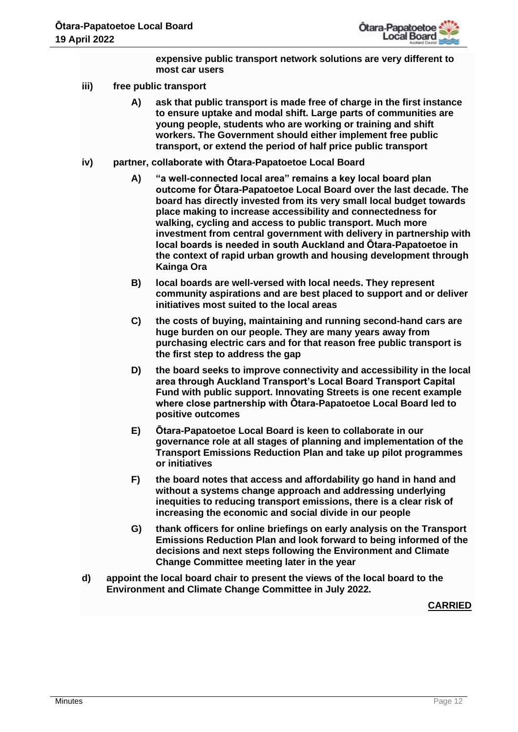

**expensive public transport network solutions are very different to most car users**

- **iii) free public transport**
	- **A) ask that public transport is made free of charge in the first instance to ensure uptake and modal shift. Large parts of communities are young people, students who are working or training and shift workers. The Government should either implement free public transport, or extend the period of half price public transport**
- **iv) partner, collaborate with Ōtara-Papatoetoe Local Board** 
	- **A) "a well-connected local area" remains a key local board plan outcome for Ōtara-Papatoetoe Local Board over the last decade. The board has directly invested from its very small local budget towards place making to increase accessibility and connectedness for walking, cycling and access to public transport. Much more investment from central government with delivery in partnership with local boards is needed in south Auckland and Ōtara-Papatoetoe in the context of rapid urban growth and housing development through Kainga Ora**
	- **B) local boards are well-versed with local needs. They represent community aspirations and are best placed to support and or deliver initiatives most suited to the local areas**
	- **C) the costs of buying, maintaining and running second-hand cars are huge burden on our people. They are many years away from purchasing electric cars and for that reason free public transport is the first step to address the gap**
	- **D) the board seeks to improve connectivity and accessibility in the local area through Auckland Transport's Local Board Transport Capital Fund with public support. Innovating Streets is one recent example where close partnership with Ōtara-Papatoetoe Local Board led to positive outcomes**
	- **E) Ōtara-Papatoetoe Local Board is keen to collaborate in our governance role at all stages of planning and implementation of the Transport Emissions Reduction Plan and take up pilot programmes or initiatives**
	- **F) the board notes that access and affordability go hand in hand and without a systems change approach and addressing underlying inequities to reducing transport emissions, there is a clear risk of increasing the economic and social divide in our people**
	- **G) thank officers for online briefings on early analysis on the Transport Emissions Reduction Plan and look forward to being informed of the decisions and next steps following the Environment and Climate Change Committee meeting later in the year**
- **d) appoint the local board chair to present the views of the local board to the Environment and Climate Change Committee in July 2022.**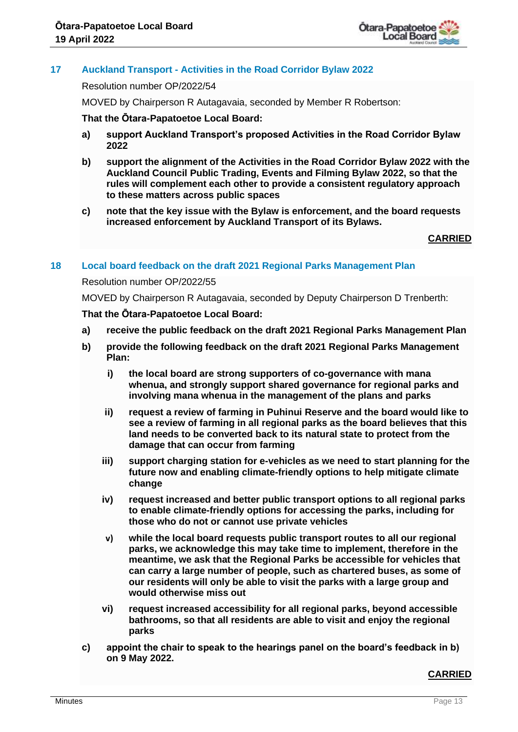

# **17 Auckland Transport - Activities in the Road Corridor Bylaw 2022**

Resolution number OP/2022/54

MOVED by Chairperson R Autagavaia, seconded by Member R Robertson:

#### **That the Ōtara-Papatoetoe Local Board:**

- **a) support Auckland Transport's proposed Activities in the Road Corridor Bylaw 2022**
- **b) support the alignment of the Activities in the Road Corridor Bylaw 2022 with the Auckland Council Public Trading, Events and Filming Bylaw 2022, so that the rules will complement each other to provide a consistent regulatory approach to these matters across public spaces**
- **c) note that the key issue with the Bylaw is enforcement, and the board requests increased enforcement by Auckland Transport of its Bylaws.**

## **CARRIED**

## **18 Local board feedback on the draft 2021 Regional Parks Management Plan**

## Resolution number OP/2022/55

MOVED by Chairperson R Autagavaia, seconded by Deputy Chairperson D Trenberth:

#### **That the Ōtara-Papatoetoe Local Board:**

- **a) receive the public feedback on the draft 2021 Regional Parks Management Plan**
- **b) provide the following feedback on the draft 2021 Regional Parks Management Plan:**
	- **i) the local board are strong supporters of co-governance with mana whenua, and strongly support shared governance for regional parks and involving mana whenua in the management of the plans and parks**
	- **ii) request a review of farming in Puhinui Reserve and the board would like to see a review of farming in all regional parks as the board believes that this land needs to be converted back to its natural state to protect from the damage that can occur from farming**
	- **iii) support charging station for e-vehicles as we need to start planning for the future now and enabling climate-friendly options to help mitigate climate change**
	- **iv) request increased and better public transport options to all regional parks to enable climate-friendly options for accessing the parks, including for those who do not or cannot use private vehicles**
	- **v) while the local board requests public transport routes to all our regional parks, we acknowledge this may take time to implement, therefore in the meantime, we ask that the Regional Parks be accessible for vehicles that can carry a large number of people, such as chartered buses, as some of our residents will only be able to visit the parks with a large group and would otherwise miss out**
	- **vi) request increased accessibility for all regional parks, beyond accessible bathrooms, so that all residents are able to visit and enjoy the regional parks**
- **c) appoint the chair to speak to the hearings panel on the board's feedback in b) on 9 May 2022.**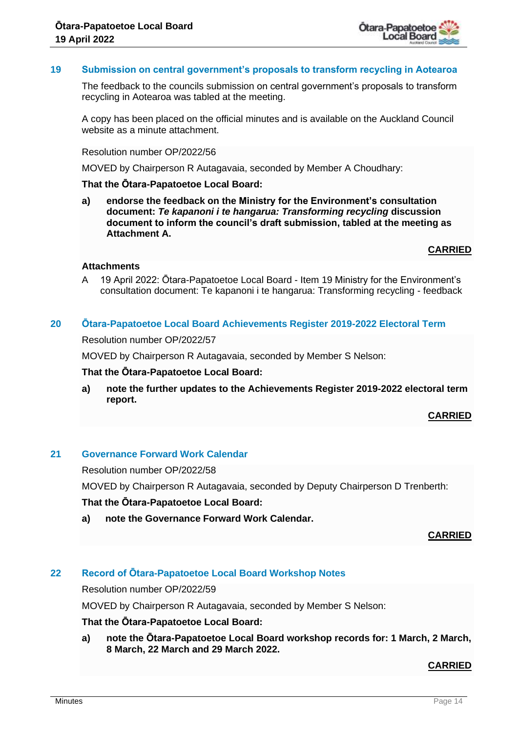

## **19 Submission on central government's proposals to transform recycling in Aotearoa**

The feedback to the councils submission on central government's proposals to transform recycling in Aotearoa was tabled at the meeting.

A copy has been placed on the official minutes and is available on the Auckland Council website as a minute attachment.

#### Resolution number OP/2022/56

MOVED by Chairperson R Autagavaia, seconded by Member A Choudhary:

#### **That the Ōtara-Papatoetoe Local Board:**

**a) endorse the feedback on the Ministry for the Environment's consultation document:** *Te kapanoni i te hangarua: Transforming recycling* **discussion document to inform the council's draft submission, tabled at the meeting as Attachment A.**

**CARRIED**

## **Attachments**

A 19 April 2022: Ōtara-Papatoetoe Local Board - Item 19 Ministry for the Environment's consultation document: Te kapanoni i te hangarua: Transforming recycling - feedback

#### **20 Ōtara-Papatoetoe Local Board Achievements Register 2019-2022 Electoral Term**

Resolution number OP/2022/57

MOVED by Chairperson R Autagavaia, seconded by Member S Nelson:

#### **That the Ōtara-Papatoetoe Local Board:**

**a) note the further updates to the Achievements Register 2019-2022 electoral term report.**

## **CARRIED**

#### **21 Governance Forward Work Calendar**

Resolution number OP/2022/58

MOVED by Chairperson R Autagavaia, seconded by Deputy Chairperson D Trenberth:

#### **That the Ōtara-Papatoetoe Local Board:**

**a) note the Governance Forward Work Calendar.**

#### **CARRIED**

# **22 Record of Ōtara-Papatoetoe Local Board Workshop Notes**

Resolution number OP/2022/59

MOVED by Chairperson R Autagavaia, seconded by Member S Nelson:

#### **That the Ōtara-Papatoetoe Local Board:**

**a) note the Ōtara-Papatoetoe Local Board workshop records for: 1 March, 2 March, 8 March, 22 March and 29 March 2022.**